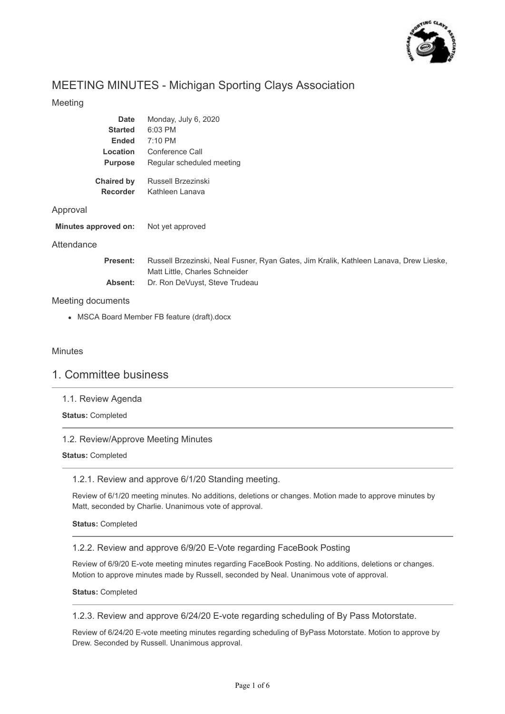

# MEETING MINUTES - Michigan Sporting Clays Association

## Meeting

| Date                          | Monday, July 6, 2020                  |
|-------------------------------|---------------------------------------|
| <b>Started</b>                | 6:03 PM                               |
| Ended                         | $7:10 \text{ PM}$                     |
| Location                      | Conference Call                       |
| <b>Purpose</b>                | Regular scheduled meeting             |
| <b>Chaired by</b><br>Recorder | Russell Brzezinski<br>Kathleen Lanava |

## Approval

| Minutes approved on: | Not yet approved |
|----------------------|------------------|
|                      |                  |

## **Attendance**

| Present: | Russell Brzezinski, Neal Fusner, Ryan Gates, Jim Kralik, Kathleen Lanava, Drew Lieske, |
|----------|----------------------------------------------------------------------------------------|
|          | Matt Little, Charles Schneider                                                         |
| Absent:  | Dr. Ron DeVuyst, Steve Trudeau                                                         |

## Meeting documents

MSCA Board Member FB feature (draft).docx

## Minutes

## 1. Committee business

1.1. Review Agenda

**Status:** Completed

## 1.2. Review/Approve Meeting Minutes

## **Status:** Completed

## 1.2.1. Review and approve 6/1/20 Standing meeting.

Review of 6/1/20 meeting minutes. No additions, deletions or changes. Motion made to approve minutes by Matt, seconded by Charlie. Unanimous vote of approval.

**Status:** Completed

## 1.2.2. Review and approve 6/9/20 E-Vote regarding FaceBook Posting

Review of 6/9/20 E-vote meeting minutes regarding FaceBook Posting. No additions, deletions or changes. Motion to approve minutes made by Russell, seconded by Neal. Unanimous vote of approval.

**Status:** Completed

## 1.2.3. Review and approve 6/24/20 E-vote regarding scheduling of By Pass Motorstate.

Review of 6/24/20 E-vote meeting minutes regarding scheduling of ByPass Motorstate. Motion to approve by Drew. Seconded by Russell. Unanimous approval.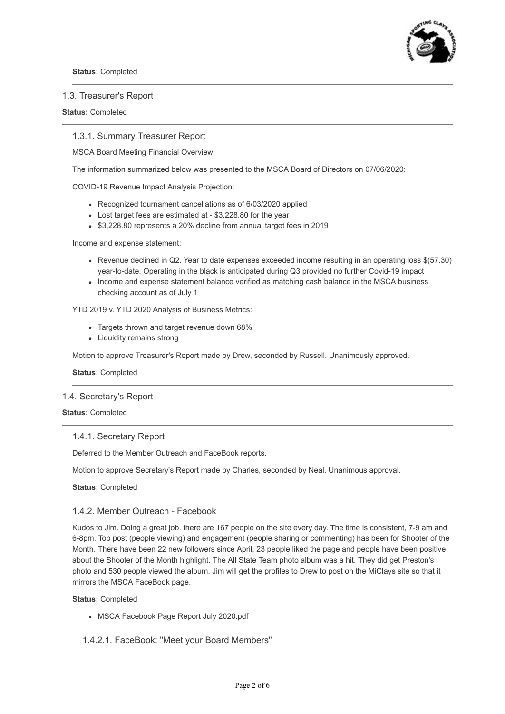

#### 1.3. Treasurer's Report

#### **Status:** Completed

#### 1.3.1. Summary Treasurer Report

MSCA Board Meeting Financial Overview

The information summarized below was presented to the MSCA Board of Directors on 07/06/2020:

COVID-19 Revenue Impact Analysis Projection:

- Recognized tournament cancellations as of 6/03/2020 applied
- Lost target fees are estimated at \$3,228.80 for the year
- \$3,228.80 represents a 20% decline from annual target fees in 2019

Income and expense statement:

- Revenue declined in Q2. Year to date expenses exceeded income resulting in an operating loss \$(57.30) year-to-date. Operating in the black is anticipated during Q3 provided no further Covid-19 impact
- Income and expense statement balance verified as matching cash balance in the MSCA business checking account as of July 1

YTD 2019 v. YTD 2020 Analysis of Business Metrics:

- Targets thrown and target revenue down 68%
- Liquidity remains strong

Motion to approve Treasurer's Report made by Drew, seconded by Russell. Unanimously approved.

**Status:** Completed

#### 1.4. Secretary's Report

#### **Status:** Completed

#### 1.4.1. Secretary Report

Deferred to the Member Outreach and FaceBook reports.

Motion to approve Secretary's Report made by Charles, seconded by Neal. Unanimous approval.

**Status:** Completed

#### 1.4.2. Member Outreach - Facebook

Kudos to Jim. Doing a great job. there are 167 people on the site every day. The time is consistent, 7-9 am and 6-8pm. Top post (people viewing) and engagement (people sharing or commenting) has been for Shooter of the Month. There have been 22 new followers since April, 23 people liked the page and people have been positive about the Shooter of the Month highlight. The All State Team photo album was a hit. They did get Preston's photo and 530 people viewed the album. Jim will get the profiles to Drew to post on the MiClays site so that it mirrors the MSCA FaceBook page.

**Status:** Completed

MSCA Facebook Page Report July 2020.pdf

1.4.2.1. FaceBook: "Meet your Board Members"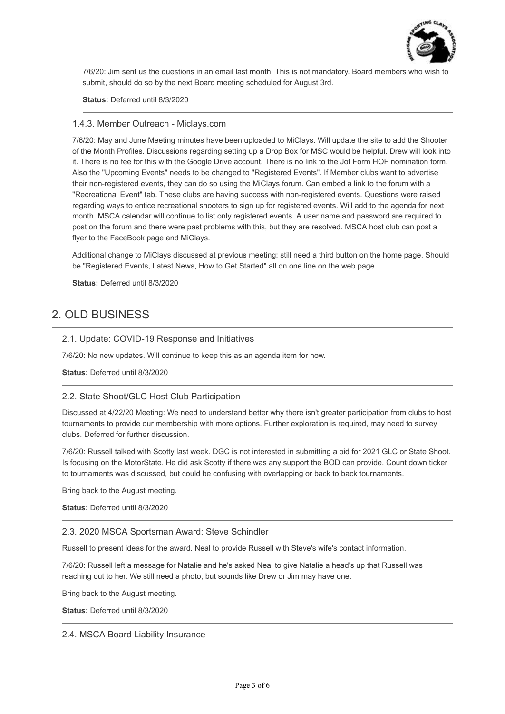

7/6/20: Jim sent us the questions in an email last month. This is not mandatory. Board members who wish to submit, should do so by the next Board meeting scheduled for August 3rd.

**Status:** Deferred until 8/3/2020

#### 1.4.3. Member Outreach - Miclays.com

7/6/20: May and June Meeting minutes have been uploaded to MiClays. Will update the site to add the Shooter of the Month Profiles. Discussions regarding setting up a Drop Box for MSC would be helpful. Drew will look into it. There is no fee for this with the Google Drive account. There is no link to the Jot Form HOF nomination form. Also the "Upcoming Events" needs to be changed to "Registered Events". If Member clubs want to advertise their non-registered events, they can do so using the MiClays forum. Can embed a link to the forum with a "Recreational Event" tab. These clubs are having success with non-registered events. Questions were raised regarding ways to entice recreational shooters to sign up for registered events. Will add to the agenda for next month. MSCA calendar will continue to list only registered events. A user name and password are required to post on the forum and there were past problems with this, but they are resolved. MSCA host club can post a flyer to the FaceBook page and MiClays.

Additional change to MiClays discussed at previous meeting: still need a third button on the home page. Should be "Registered Events, Latest News, How to Get Started" all on one line on the web page.

**Status:** Deferred until 8/3/2020

# 2. OLD BUSINESS

## 2.1. Update: COVID-19 Response and Initiatives

7/6/20: No new updates. Will continue to keep this as an agenda item for now.

**Status:** Deferred until 8/3/2020

## 2.2. State Shoot/GLC Host Club Participation

Discussed at 4/22/20 Meeting: We need to understand better why there isn't greater participation from clubs to host tournaments to provide our membership with more options. Further exploration is required, may need to survey clubs. Deferred for further discussion.

7/6/20: Russell talked with Scotty last week. DGC is not interested in submitting a bid for 2021 GLC or State Shoot. Is focusing on the MotorState. He did ask Scotty if there was any support the BOD can provide. Count down ticker to tournaments was discussed, but could be confusing with overlapping or back to back tournaments.

Bring back to the August meeting.

**Status:** Deferred until 8/3/2020

#### 2.3. 2020 MSCA Sportsman Award: Steve Schindler

Russell to present ideas for the award. Neal to provide Russell with Steve's wife's contact information.

7/6/20: Russell left a message for Natalie and he's asked Neal to give Natalie a head's up that Russell was reaching out to her. We still need a photo, but sounds like Drew or Jim may have one.

Bring back to the August meeting.

**Status:** Deferred until 8/3/2020

2.4. MSCA Board Liability Insurance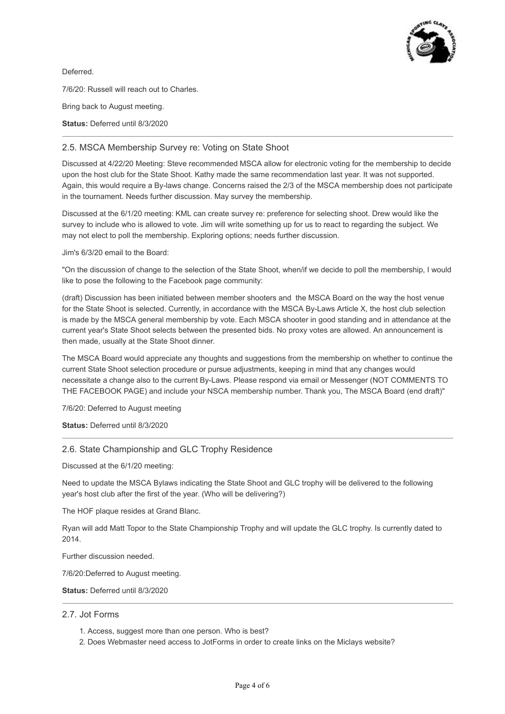

Deferred.

7/6/20: Russell will reach out to Charles.

Bring back to August meeting.

**Status:** Deferred until 8/3/2020

## 2.5. MSCA Membership Survey re: Voting on State Shoot

Discussed at 4/22/20 Meeting: Steve recommended MSCA allow for electronic voting for the membership to decide upon the host club for the State Shoot. Kathy made the same recommendation last year. It was not supported. Again, this would require a By-laws change. Concerns raised the 2/3 of the MSCA membership does not participate in the tournament. Needs further discussion. May survey the membership.

Discussed at the 6/1/20 meeting: KML can create survey re: preference for selecting shoot. Drew would like the survey to include who is allowed to vote. Jim will write something up for us to react to regarding the subject. We may not elect to poll the membership. Exploring options; needs further discussion.

Jim's 6/3/20 email to the Board:

"On the discussion of change to the selection of the State Shoot, when/if we decide to poll the membership, I would like to pose the following to the Facebook page community:

(draft) Discussion has been initiated between member shooters and the MSCA Board on the way the host venue for the State Shoot is selected. Currently, in accordance with the MSCA By-Laws Article X, the host club selection is made by the MSCA general membership by vote. Each MSCA shooter in good standing and in attendance at the current year's State Shoot selects between the presented bids. No proxy votes are allowed. An announcement is then made, usually at the State Shoot dinner.

The MSCA Board would appreciate any thoughts and suggestions from the membership on whether to continue the current State Shoot selection procedure or pursue adjustments, keeping in mind that any changes would necessitate a change also to the current By-Laws. Please respond via email or Messenger (NOT COMMENTS TO THE FACEBOOK PAGE) and include your NSCA membership number. Thank you, The MSCA Board (end draft)"

7/6/20: Deferred to August meeting

#### **Status:** Deferred until 8/3/2020

## 2.6. State Championship and GLC Trophy Residence

Discussed at the 6/1/20 meeting:

Need to update the MSCA Bylaws indicating the State Shoot and GLC trophy will be delivered to the following year's host club after the first of the year. (Who will be delivering?)

The HOF plaque resides at Grand Blanc.

Ryan will add Matt Topor to the State Championship Trophy and will update the GLC trophy. Is currently dated to 2014.

Further discussion needed.

7/6/20:Deferred to August meeting.

**Status:** Deferred until 8/3/2020

## 2.7. Jot Forms

- 1. Access, suggest more than one person. Who is best?
- 2. Does Webmaster need access to JotForms in order to create links on the Miclays website?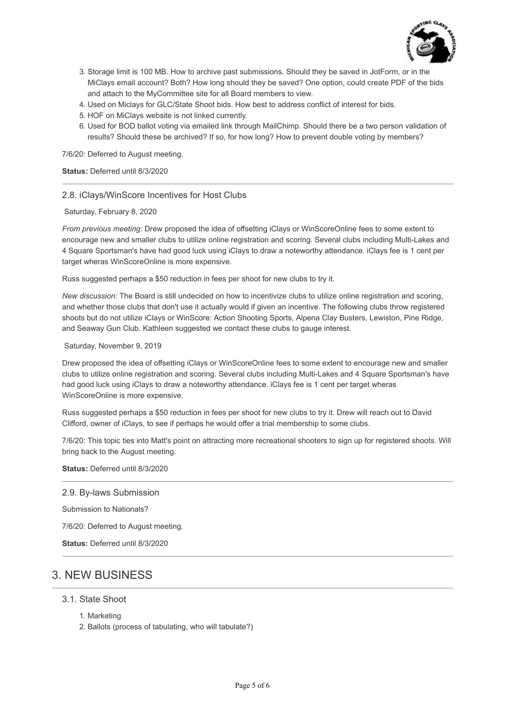

- 3. Storage limit is 100 MB. How to archive past submissions. Should they be saved in JotForm, or in the MiClays email account? Both? How long should they be saved? One option, could create PDF of the bids and attach to the MyCommittee site for all Board members to view.
- 4. Used on Miclays for GLC/State Shoot bids. How best to address conflict of interest for bids.
- 5. HOF on MiClays website is not linked currently.
- 6. Used for BOD ballot voting via emailed link through MailChimp. Should there be a two person validation of results? Should these be archived? If so, for how long? How to prevent double voting by members?

7/6/20: Deferred to August meeting.

**Status:** Deferred until 8/3/2020

## 2.8. iClays/WinScore Incentives for Host Clubs

Saturday, February 8, 2020

*From previous meeting:* Drew proposed the idea of offsetting iClays or WinScoreOnline fees to some extent to encourage new and smaller clubs to utilize online registration and scoring. Several clubs including Multi-Lakes and 4 Square Sportsman's have had good luck using iClays to draw a noteworthy attendance. iClays fee is 1 cent per target wheras WinScoreOnline is more expensive.

Russ suggested perhaps a \$50 reduction in fees per shoot for new clubs to try it.

*New discussion:* The Board is still undecided on how to incentivize clubs to utilize online registration and scoring, and whether those clubs that don't use it actually would if given an incentive. The following clubs throw registered shoots but do not utilize iClays or WinScore: Action Shooting Sports, Alpena Clay Busters, Lewiston, Pine Ridge, and Seaway Gun Club. Kathleen suggested we contact these clubs to gauge interest.

#### Saturday, November 9, 2019

Drew proposed the idea of offsetting iClays or WinScoreOnline fees to some extent to encourage new and smaller clubs to utilize online registration and scoring. Several clubs including Multi-Lakes and 4 Square Sportsman's have had good luck using iClays to draw a noteworthy attendance. iClays fee is 1 cent per target wheras WinScoreOnline is more expensive.

Russ suggested perhaps a \$50 reduction in fees per shoot for new clubs to try it. Drew will reach out to David Clifford, owner of iClays, to see if perhaps he would offer a trial membership to some clubs.

7/6/20: This topic ties into Matt's point on attracting more recreational shooters to sign up for registered shoots. Will bring back to the August meeting.

**Status:** Deferred until 8/3/2020

2.9. By-laws Submission

Submission to Nationals?

7/6/20: Deferred to August meeting.

**Status:** Deferred until 8/3/2020

# 3. NEW BUSINESS

- 3.1. State Shoot
	- 1. Marketing
	- 2. Ballots (process of tabulating, who will tabulate?)